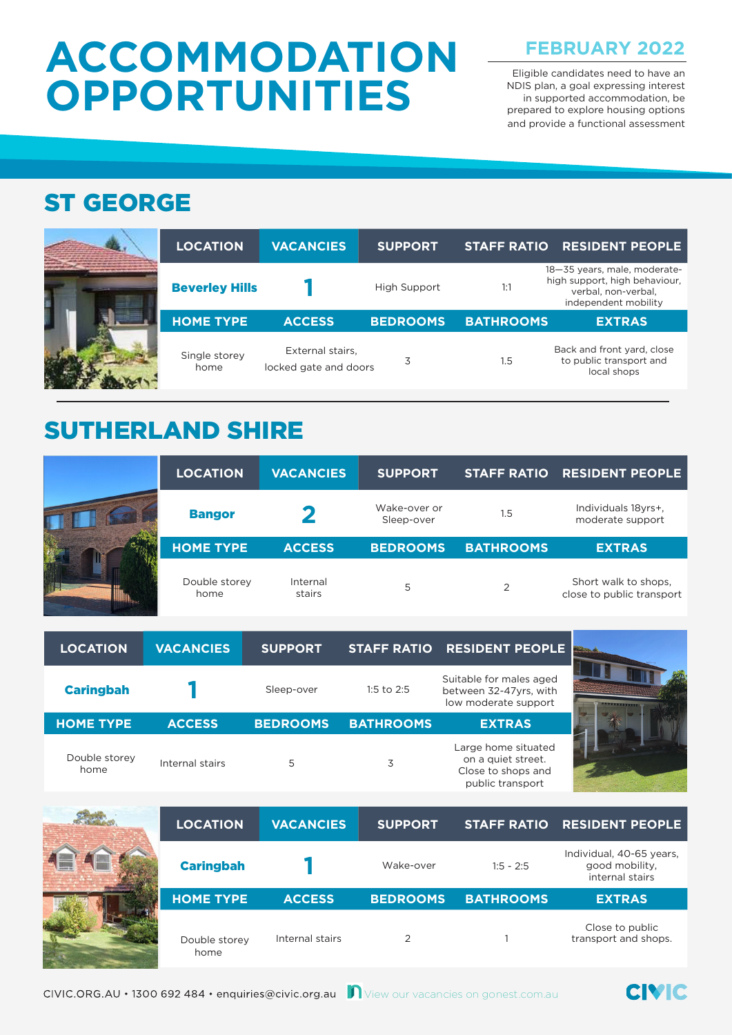# **ACCOMMODATION OPPORTUNITIES**

**FEBRUARY 2022** 

Eligible candidates need to have an NDIS plan, a goal expressing interest in supported accommodation, be prepared to explore housing options and provide a functional assessment

#### ST GEORGE



| <b>LOCATION</b>       | <b>VACANCIES</b>                          | <b>SUPPORT</b>  | <b>STAFF RATIO</b> | <b>RESIDENT PEOPLE</b>                                                                                       |
|-----------------------|-------------------------------------------|-----------------|--------------------|--------------------------------------------------------------------------------------------------------------|
| <b>Beverley Hills</b> |                                           | High Support    | 1:1                | 18-35 years, male, moderate-<br>high support, high behaviour,<br>verbal, non-verbal.<br>independent mobility |
| <b>HOME TYPE</b>      | <b>ACCESS</b>                             | <b>BEDROOMS</b> | <b>BATHROOMS</b>   | <b>EXTRAS</b>                                                                                                |
| Single storey<br>home | External stairs,<br>locked gate and doors | 3               | 1.5                | Back and front yard, close<br>to public transport and<br>local shops                                         |

### SUTHERLAND SHIRE

| <b>LOCATION</b>       | <b>VACANCIES</b>   | <b>SUPPORT</b>             |                  | STAFF RATIO RESIDENT PEOPLE                       |
|-----------------------|--------------------|----------------------------|------------------|---------------------------------------------------|
| <b>Bangor</b>         |                    | Wake-over or<br>Sleep-over | 1.5              | Individuals 18yrs+,<br>moderate support           |
| <b>HOME TYPE</b>      | <b>ACCESS</b>      | <b>BEDROOMS</b>            | <b>BATHROOMS</b> | <b>EXTRAS</b>                                     |
| Double storey<br>home | Internal<br>stairs | 5                          |                  | Short walk to shops.<br>close to public transport |

| <b>LOCATION</b>       | <b>VACANCIES</b> | <b>SUPPORT</b>  |                  | STAFF RATIO RESIDENT PEOPLE                                                         | <b>Barnette</b>             |
|-----------------------|------------------|-----------------|------------------|-------------------------------------------------------------------------------------|-----------------------------|
| <b>Caringbah</b>      |                  | Sleep-over      | 1:5 to $2:5$     | Suitable for males aged<br>between 32-47yrs, with<br>low moderate support           | <b>ARTISTS IN THE UPPER</b> |
| <b>HOME TYPE</b>      | <b>ACCESS</b>    | <b>BEDROOMS</b> | <b>BATHROOMS</b> | <b>EXTRAS</b>                                                                       |                             |
| Double storey<br>home | Internal stairs  | 5               | 3                | Large home situated<br>on a quiet street.<br>Close to shops and<br>public transport |                             |

| <b>LOCATION</b>       | <b>VACANCIES</b> | <b>SUPPORT</b>  |                  | STAFF RATIO RESIDENT PEOPLE                                   |
|-----------------------|------------------|-----------------|------------------|---------------------------------------------------------------|
| <b>Caringbah</b>      |                  | Wake-over       | $1:5 - 2:5$      | Individual, 40-65 years,<br>good mobility.<br>internal stairs |
| <b>HOME TYPE</b>      | <b>ACCESS</b>    | <b>BEDROOMS</b> | <b>BATHROOMS</b> | <b>EXTRAS</b>                                                 |
| Double storey<br>home | Internal stairs  |                 |                  | Close to public<br>transport and shops.                       |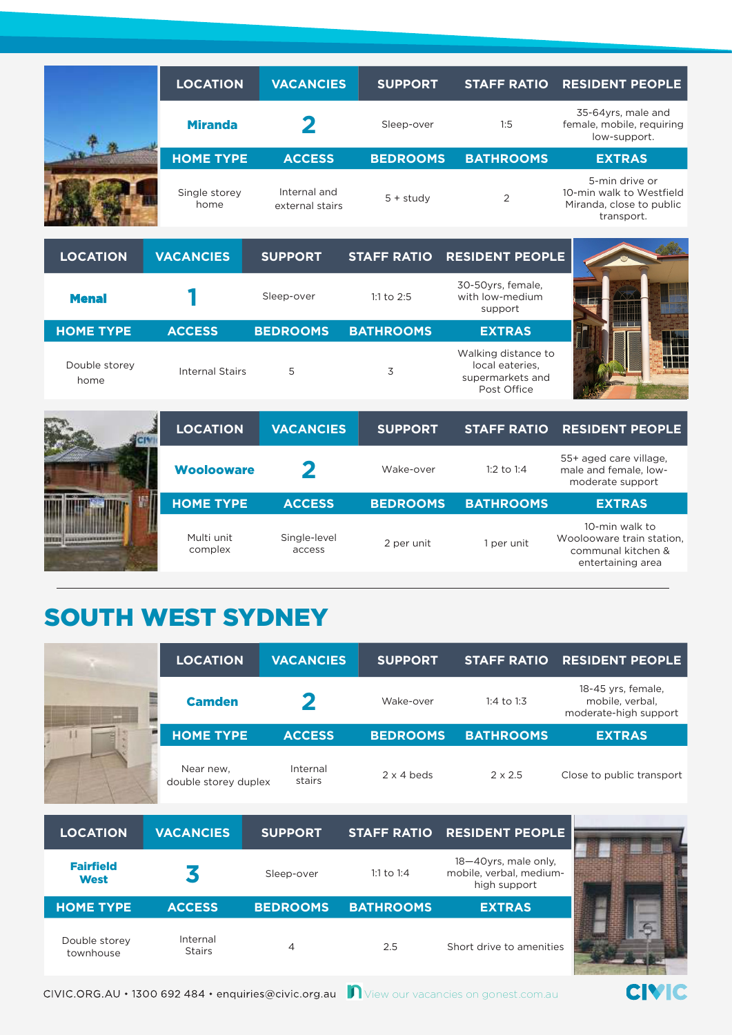| <b>LOCATION</b>       | <b>VACANCIES</b>                | <b>SUPPORT</b>  | <b>STAFF RATIO</b> | <b>RESIDENT PEOPLE</b>                                                               |
|-----------------------|---------------------------------|-----------------|--------------------|--------------------------------------------------------------------------------------|
| <b>Miranda</b>        |                                 | Sleep-over      | 1:5                | 35-64yrs, male and<br>female, mobile, requiring<br>low-support.                      |
| <b>HOME TYPE</b>      | <b>ACCESS</b>                   | <b>BEDROOMS</b> | <b>BATHROOMS</b>   | <b>EXTRAS</b>                                                                        |
| Single storey<br>home | Internal and<br>external stairs | $5 +$ study     | 2                  | 5-min drive or<br>10-min walk to Westfield<br>Miranda, close to public<br>transport. |

| <b>LOCATION</b>       | <b>VACANCIES</b> | <b>SUPPORT</b>  |                  | STAFF RATIO RESIDENT PEOPLE                                               |     |
|-----------------------|------------------|-----------------|------------------|---------------------------------------------------------------------------|-----|
| <b>Menal</b>          |                  | Sleep-over      | 1:1 to $2:5$     | 30-50yrs, female,<br>with low-medium<br>support                           |     |
| <b>HOME TYPE</b>      | <b>ACCESS</b>    | <b>BEDROOMS</b> | <b>BATHROOMS</b> | <b>EXTRAS</b>                                                             |     |
| Double storey<br>home | Internal Stairs  | 5               | 3                | Walking distance to<br>local eateries.<br>supermarkets and<br>Post Office | WEE |

| <b>LOCATION</b>       | <b>VACANCIES</b>       | <b>SUPPORT</b>  | <b>STAFF RATIO</b> | <b>RESIDENT PEOPLE</b>                                                                 |
|-----------------------|------------------------|-----------------|--------------------|----------------------------------------------------------------------------------------|
| <b>Woolooware</b>     |                        | Wake-over       | 1:2 to 1:4         | 55+ aged care village,<br>male and female, low-<br>moderate support                    |
| <b>HOME TYPE</b>      |                        |                 |                    |                                                                                        |
|                       | <b>ACCESS</b>          | <b>BEDROOMS</b> | <b>BATHROOMS</b>   | <b>EXTRAS</b>                                                                          |
| Multi unit<br>complex | Single-level<br>access | 2 per unit      | 1 per unit         | 10-min walk to<br>Woolooware train station,<br>communal kitchen &<br>entertaining area |

### SOUTH WEST SYDNEY

|   | <b>LOCATION</b>                   | <b>VACANCIES</b>   | <b>SUPPORT</b>    | <b>STAFF RATIO</b> | <b>RESIDENT PEOPLE</b>                                         |
|---|-----------------------------------|--------------------|-------------------|--------------------|----------------------------------------------------------------|
|   | <b>Camden</b>                     |                    | Wake-over         | 1:4 to 1:3         | 18-45 yrs, female,<br>mobile, verbal,<br>moderate-high support |
| ÷ | <b>HOME TYPE</b>                  | <b>ACCESS</b>      | <b>BEDROOMS</b>   | <b>BATHROOMS</b>   | <b>EXTRAS</b>                                                  |
|   | Near new,<br>double storey duplex | Internal<br>stairs | $2 \times 4$ beds | $2 \times 2.5$     | Close to public transport                                      |

| <b>LOCATION</b>                 | <b>VACANCIES</b>          | <b>SUPPORT</b>  |                  | STAFF RATIO RESIDENT PEOPLE                                     |  |
|---------------------------------|---------------------------|-----------------|------------------|-----------------------------------------------------------------|--|
| <b>Fairfield</b><br><b>West</b> |                           | Sleep-over      | 1:1 to 1:4       | 18-40yrs, male only,<br>mobile, verbal, medium-<br>high support |  |
| <b>HOME TYPE</b>                | <b>ACCESS</b>             | <b>BEDROOMS</b> | <b>BATHROOMS</b> | <b>EXTRAS</b>                                                   |  |
| Double storey<br>townhouse      | Internal<br><b>Stairs</b> |                 | 2.5              | Short drive to amenities                                        |  |